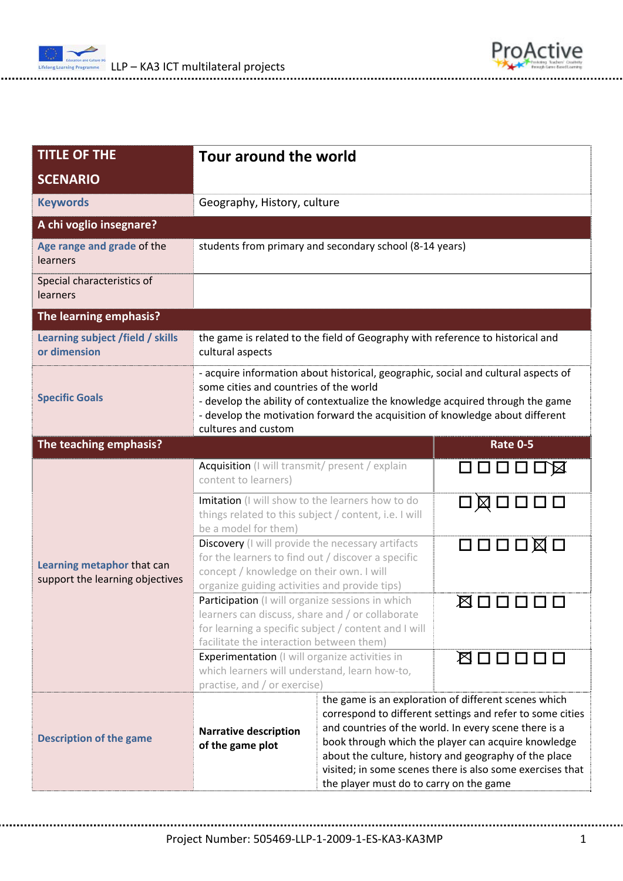

| <b>TITLE OF THE</b>                                           | Tour around the world                                                                                                                                                                                                                                                                                                  |                                                                                                                                                                                                                                                                                                                                                                                                    |                                      |  |  |  |
|---------------------------------------------------------------|------------------------------------------------------------------------------------------------------------------------------------------------------------------------------------------------------------------------------------------------------------------------------------------------------------------------|----------------------------------------------------------------------------------------------------------------------------------------------------------------------------------------------------------------------------------------------------------------------------------------------------------------------------------------------------------------------------------------------------|--------------------------------------|--|--|--|
| <b>SCENARIO</b>                                               |                                                                                                                                                                                                                                                                                                                        |                                                                                                                                                                                                                                                                                                                                                                                                    |                                      |  |  |  |
| <b>Keywords</b>                                               | Geography, History, culture                                                                                                                                                                                                                                                                                            |                                                                                                                                                                                                                                                                                                                                                                                                    |                                      |  |  |  |
| A chi voglio insegnare?                                       |                                                                                                                                                                                                                                                                                                                        |                                                                                                                                                                                                                                                                                                                                                                                                    |                                      |  |  |  |
| Age range and grade of the<br><b>learners</b>                 | students from primary and secondary school (8-14 years)                                                                                                                                                                                                                                                                |                                                                                                                                                                                                                                                                                                                                                                                                    |                                      |  |  |  |
| Special characteristics of<br>learners                        |                                                                                                                                                                                                                                                                                                                        |                                                                                                                                                                                                                                                                                                                                                                                                    |                                      |  |  |  |
| The learning emphasis?                                        |                                                                                                                                                                                                                                                                                                                        |                                                                                                                                                                                                                                                                                                                                                                                                    |                                      |  |  |  |
| Learning subject /field / skills<br>or dimension              | the game is related to the field of Geography with reference to historical and<br>cultural aspects                                                                                                                                                                                                                     |                                                                                                                                                                                                                                                                                                                                                                                                    |                                      |  |  |  |
| <b>Specific Goals</b>                                         | - acquire information about historical, geographic, social and cultural aspects of<br>some cities and countries of the world<br>- develop the ability of contextualize the knowledge acquired through the game<br>- develop the motivation forward the acquisition of knowledge about different<br>cultures and custom |                                                                                                                                                                                                                                                                                                                                                                                                    |                                      |  |  |  |
| Rate 0-5<br>The teaching emphasis?                            |                                                                                                                                                                                                                                                                                                                        |                                                                                                                                                                                                                                                                                                                                                                                                    |                                      |  |  |  |
| Learning metaphor that can<br>support the learning objectives | Acquisition (I will transmit/ present / explain<br>ロロロロロ図<br>content to learners)                                                                                                                                                                                                                                      |                                                                                                                                                                                                                                                                                                                                                                                                    |                                      |  |  |  |
|                                                               | Imitation (I will show to the learners how to do<br>things related to this subject / content, i.e. I will<br>be a model for them)                                                                                                                                                                                      |                                                                                                                                                                                                                                                                                                                                                                                                    | $\Box \boxtimes \Box \Box \Box \Box$ |  |  |  |
|                                                               | Discovery (I will provide the necessary artifacts<br>for the learners to find out / discover a specific<br>concept / knowledge on their own. I will<br>organize guiding activities and provide tips)                                                                                                                   |                                                                                                                                                                                                                                                                                                                                                                                                    | 口口口口囟口                               |  |  |  |
|                                                               | Participation (I will organize sessions in which<br>⊠□□□<br>learners can discuss, share and / or collaborate<br>for learning a specific subject / content and I will<br>facilitate the interaction between them)                                                                                                       |                                                                                                                                                                                                                                                                                                                                                                                                    |                                      |  |  |  |
|                                                               | <b>Experimentation</b> (I will organize activities in<br>which learners will understand, learn how-to,<br>practise, and / or exercise)                                                                                                                                                                                 |                                                                                                                                                                                                                                                                                                                                                                                                    | <b>Ø□□□□□</b>                        |  |  |  |
| <b>Description of the game</b>                                | <b>Narrative description</b><br>of the game plot                                                                                                                                                                                                                                                                       | the game is an exploration of different scenes which<br>correspond to different settings and refer to some cities<br>and countries of the world. In every scene there is a<br>book through which the player can acquire knowledge<br>about the culture, history and geography of the place<br>visited; in some scenes there is also some exercises that<br>the player must do to carry on the game |                                      |  |  |  |

ProActive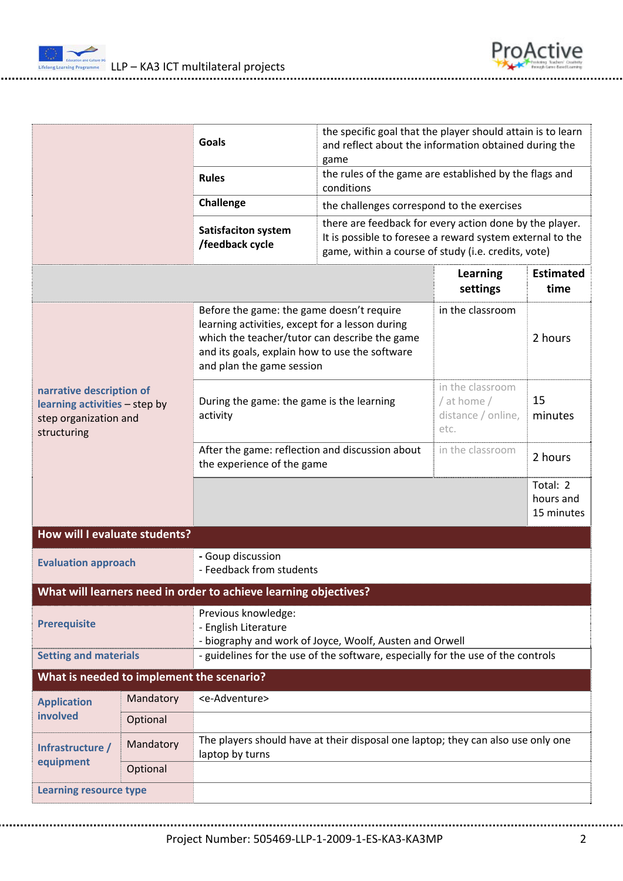



| Goals<br><b>Rules</b><br>Challenge                                                                |           |                                                                                                                                                                                                                              | the specific goal that the player should attain is to learn<br>and reflect about the information obtained during the<br>game                                                |                                                               |                                     |  |
|---------------------------------------------------------------------------------------------------|-----------|------------------------------------------------------------------------------------------------------------------------------------------------------------------------------------------------------------------------------|-----------------------------------------------------------------------------------------------------------------------------------------------------------------------------|---------------------------------------------------------------|-------------------------------------|--|
|                                                                                                   |           |                                                                                                                                                                                                                              | the rules of the game are established by the flags and<br>conditions                                                                                                        |                                                               |                                     |  |
|                                                                                                   |           |                                                                                                                                                                                                                              | the challenges correspond to the exercises                                                                                                                                  |                                                               |                                     |  |
|                                                                                                   |           | <b>Satisfaciton system</b><br>/feedback cycle                                                                                                                                                                                | there are feedback for every action done by the player.<br>It is possible to foresee a reward system external to the<br>game, within a course of study (i.e. credits, vote) |                                                               |                                     |  |
|                                                                                                   |           |                                                                                                                                                                                                                              |                                                                                                                                                                             | <b>Learning</b><br>settings                                   | <b>Estimated</b><br>time            |  |
| narrative description of<br>learning activities - step by<br>step organization and<br>structuring |           | Before the game: the game doesn't require<br>learning activities, except for a lesson during<br>which the teacher/tutor can describe the game<br>and its goals, explain how to use the software<br>and plan the game session |                                                                                                                                                                             | in the classroom                                              | 2 hours                             |  |
|                                                                                                   |           | During the game: the game is the learning<br>activity                                                                                                                                                                        |                                                                                                                                                                             | in the classroom<br>/ at home /<br>distance / online,<br>etc. | 15<br>minutes                       |  |
|                                                                                                   |           | After the game: reflection and discussion about<br>the experience of the game                                                                                                                                                |                                                                                                                                                                             | in the classroom                                              | 2 hours                             |  |
|                                                                                                   |           |                                                                                                                                                                                                                              |                                                                                                                                                                             |                                                               | Total: 2<br>hours and<br>15 minutes |  |
| How will I evaluate students?                                                                     |           |                                                                                                                                                                                                                              |                                                                                                                                                                             |                                                               |                                     |  |
| - Goup discussion<br><b>Evaluation approach</b><br>- Feedback from students                       |           |                                                                                                                                                                                                                              |                                                                                                                                                                             |                                                               |                                     |  |
|                                                                                                   |           | What will learners need in order to achieve learning objectives?                                                                                                                                                             |                                                                                                                                                                             |                                                               |                                     |  |
| <b>Prerequisite</b>                                                                               |           | Previous knowledge:<br>- English Literature<br>- biography and work of Joyce, Woolf, Austen and Orwell                                                                                                                       |                                                                                                                                                                             |                                                               |                                     |  |
| <b>Setting and materials</b>                                                                      |           | - guidelines for the use of the software, especially for the use of the controls                                                                                                                                             |                                                                                                                                                                             |                                                               |                                     |  |
| What is needed to implement the scenario?                                                         |           |                                                                                                                                                                                                                              |                                                                                                                                                                             |                                                               |                                     |  |
| <b>Application</b><br>involved                                                                    | Mandatory | <e-adventure></e-adventure>                                                                                                                                                                                                  |                                                                                                                                                                             |                                                               |                                     |  |
|                                                                                                   | Optional  |                                                                                                                                                                                                                              |                                                                                                                                                                             |                                                               |                                     |  |
| Infrastructure /<br>equipment                                                                     | Mandatory | The players should have at their disposal one laptop; they can also use only one<br>laptop by turns                                                                                                                          |                                                                                                                                                                             |                                                               |                                     |  |
|                                                                                                   | Optional  |                                                                                                                                                                                                                              |                                                                                                                                                                             |                                                               |                                     |  |
| <b>Learning resource type</b>                                                                     |           |                                                                                                                                                                                                                              |                                                                                                                                                                             |                                                               |                                     |  |